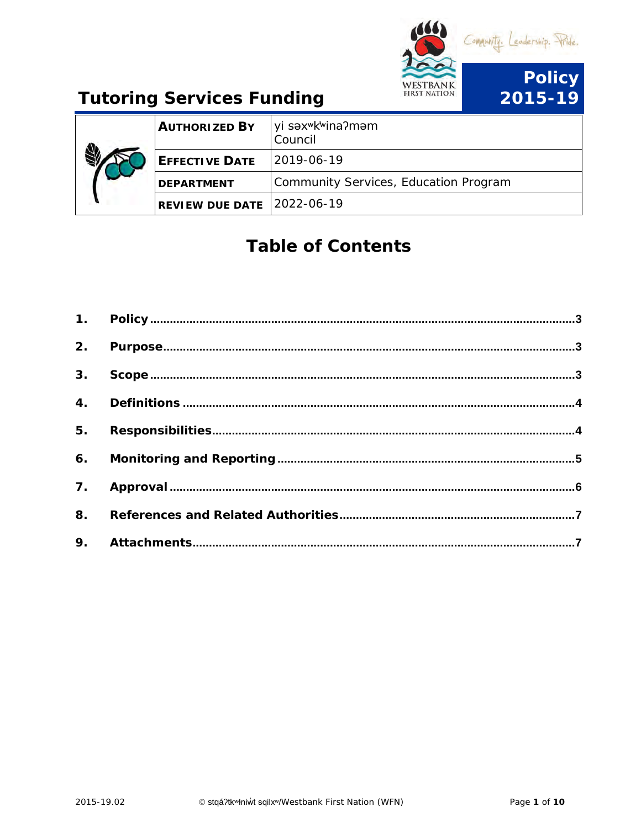

| <b>AUTHORIZED BY</b>   | yi səx <sup>w</sup> k <sup>w</sup> ina?məm<br>Council |
|------------------------|-------------------------------------------------------|
| <b>EFFECTIVE DATE</b>  | 12019-06-19                                           |
| <b>DEPARTMENT</b>      | Community Services, Education Program                 |
| <b>REVIEW DUE DATE</b> | $12022 - 06 - 19$                                     |

# **Table of Contents**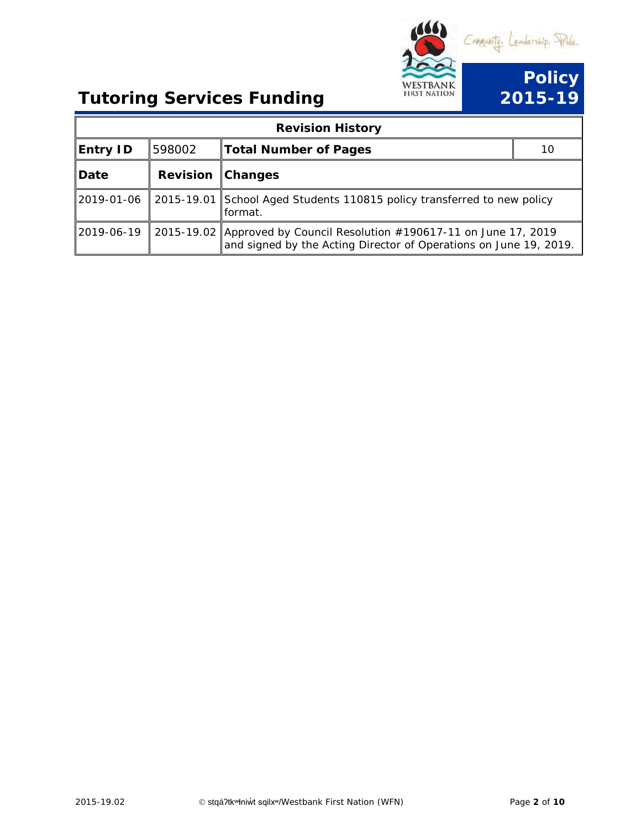

|                 |                 | <b>Revision History</b>                                                                                                                    |    |
|-----------------|-----------------|--------------------------------------------------------------------------------------------------------------------------------------------|----|
| <b>Entry ID</b> | 598002          | <b>Total Number of Pages</b>                                                                                                               | 10 |
| Date            | <b>Revision</b> | <b>Changes</b>                                                                                                                             |    |
| 2019-01-06      |                 | 2015-19.01 School Aged Students 110815 policy transferred to new policy<br>format.                                                         |    |
| 2019-06-19      |                 | 2015-19.02 Approved by Council Resolution #190617-11 on June 17, 2019<br>and signed by the Acting Director of Operations on June 19, 2019. |    |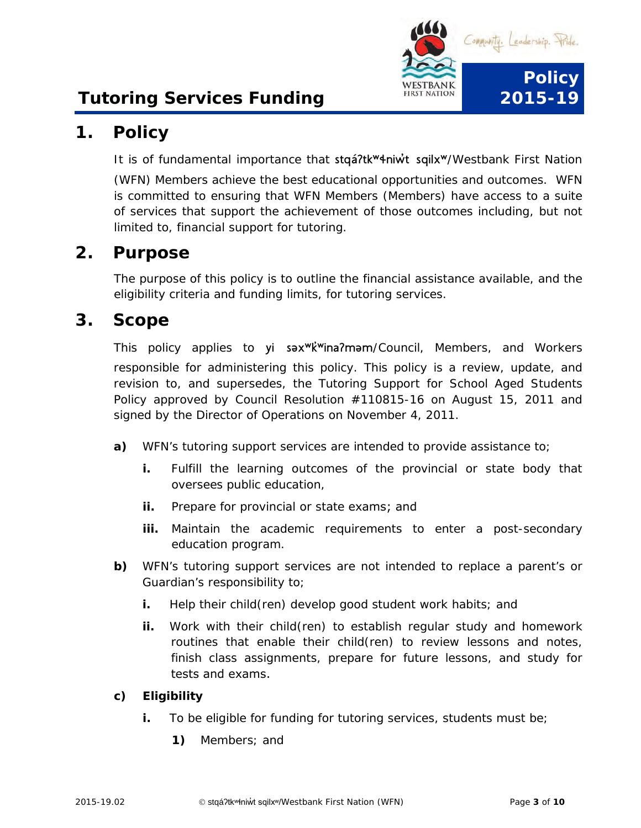

## <span id="page-2-0"></span>**1. Policy**

It is of fundamental importance that stqá?tk<sup>w</sup>4niw<sup>\*</sup>t sqilx<sup>w</sup>/Westbank First Nation

(WFN) Members achieve the best educational opportunities and outcomes. WFN is committed to ensuring that WFN Members (Members) have access to a suite of services that support the achievement of those outcomes including, but not limited to, financial support for tutoring.

### <span id="page-2-1"></span>**2. Purpose**

The purpose of this policy is to outline the financial assistance available, and the eligibility criteria and funding limits, for tutoring services.

### <span id="page-2-2"></span>**3. Scope**

This policy applies to yi sax<sup>w</sup>k<sup>w</sup>ina?mam/Council, Members, and Workers responsible for administering this policy. This policy is a review, update, and revision to, and supersedes, the Tutoring Support for School Aged Students Policy approved by Council Resolution #110815-16 on August 15, 2011 and signed by the Director of Operations on November 4, 2011.

- **a)** WFN's tutoring support services are intended to provide assistance to;
	- **i.** Fulfill the learning outcomes of the provincial or state body that oversees public education,
	- **ii.** Prepare for provincial or state exams; and
	- iii. Maintain the academic requirements to enter a post-secondary education program.
- **b)** WFN's tutoring support services are not intended to replace a parent's or Guardian's responsibility to;
	- **i.** Help their child(ren) develop good student work habits; and
	- **ii.** Work with their child(ren) to establish regular study and homework routines that enable their child(ren) to review lessons and notes, finish class assignments, prepare for future lessons, and study for tests and exams.

#### **c) Eligibility**

- **i.** To be eligible for funding for tutoring services, students must be;
	- **1)** Members; and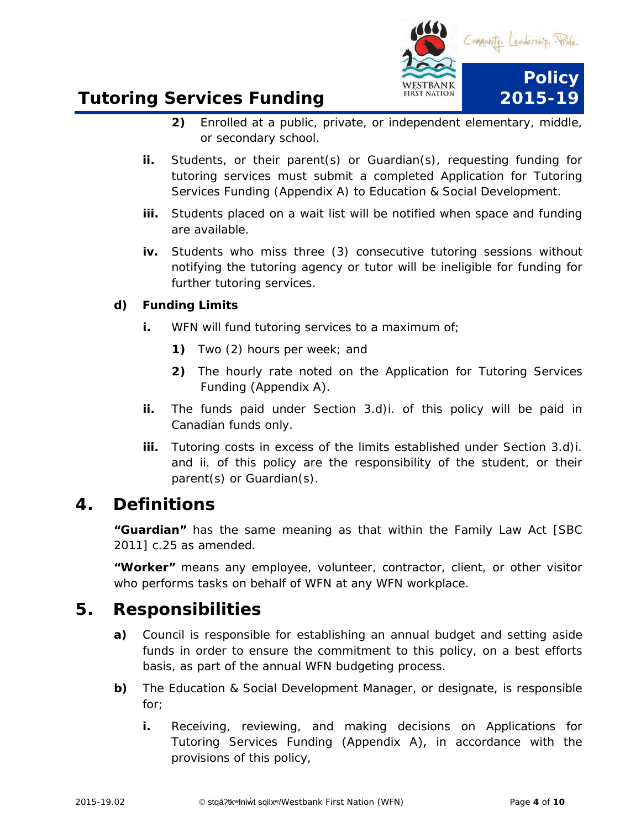

- **2)** Enrolled at a public, private, or independent elementary, middle, or secondary school.
- **ii.** Students, or their parent(s) or Guardian(s), requesting funding for tutoring services must submit a completed Application for Tutoring Services Funding (Appendix A) to Education & Social Development.
- **iii.** Students placed on a wait list will be notified when space and funding are available.
- **iv.** Students who miss three (3) consecutive tutoring sessions without notifying the tutoring agency or tutor will be ineligible for funding for further tutoring services.

#### **d) Funding Limits**

- **i.** WFN will fund tutoring services to a maximum of;
	- **1)** Two (2) hours per week; and
	- **2)** The hourly rate noted on the Application for Tutoring Services Funding (Appendix A).
- **ii.** The funds paid under Section 3.d)i. of this policy will be paid in Canadian funds only.
- **iii.** Tutoring costs in excess of the limits established under Section 3.d)i. and ii. of this policy are the responsibility of the student, or their parent(s) or Guardian(s).

### <span id="page-3-0"></span>**4. Definitions**

**"Guardian"** has the same meaning as that within the Family Law Act [SBC 2011] c.25 as amended.

**"Worker"** means any employee, volunteer, contractor, client, or other visitor who performs tasks on behalf of WFN at any WFN workplace.

### <span id="page-3-1"></span>**5. Responsibilities**

- **a)** Council is responsible for establishing an annual budget and setting aside funds in order to ensure the commitment to this policy, on a best efforts basis, as part of the annual WFN budgeting process.
- **b)** The Education & Social Development Manager, or designate, is responsible for;
	- **i.** Receiving, reviewing, and making decisions on Applications for Tutoring Services Funding (Appendix A), in accordance with the provisions of this policy,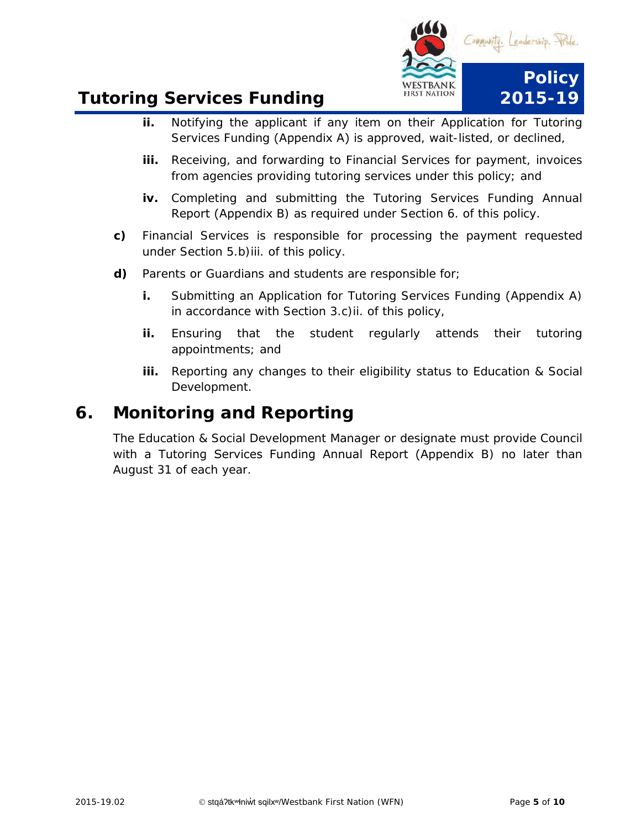

- **ii.** Notifying the applicant if any item on their Application for Tutoring Services Funding (Appendix A) is approved, wait-listed, or declined,
- **iii.** Receiving, and forwarding to Financial Services for payment, invoices from agencies providing tutoring services under this policy; and
- **iv.** Completing and submitting the Tutoring Services Funding Annual Report (Appendix B) as required under Section 6. of this policy.
- **c)** Financial Services is responsible for processing the payment requested under Section 5.b)iii. of this policy.
- **d)** Parents or Guardians and students are responsible for;
	- **i.** Submitting an Application for Tutoring Services Funding (Appendix A) in accordance with Section 3.c)ii. of this policy,
	- **ii.** Ensuring that the student regularly attends their tutoring appointments; and
	- **iii.** Reporting any changes to their eligibility status to Education & Social Development.

## <span id="page-4-0"></span>**6. Monitoring and Reporting**

<span id="page-4-1"></span>The Education & Social Development Manager or designate must provide Council with a Tutoring Services Funding Annual Report (Appendix B) no later than August 31 of each year.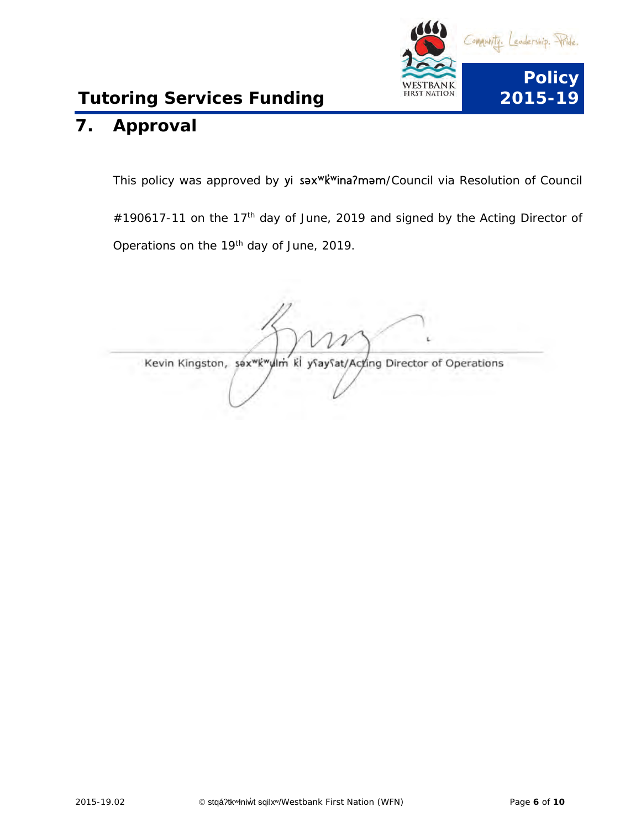

# **7. Approval**

This policy was approved by yi sax<sup>wk'w</sup>ina?mam/Council via Resolution of Council #190617-11 on the 17<sup>th</sup> day of June, 2019 and signed by the Acting Director of Operations on the 19th day of June, 2019.

<span id="page-5-0"></span>Kevin Kingston, sax Kwylm ki ysaysat/Acting Director of Operations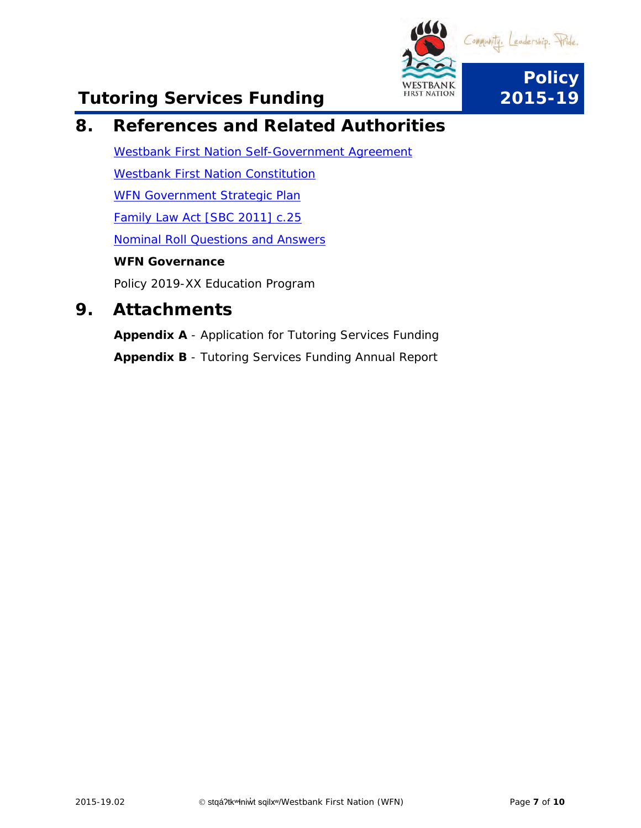

## **8. References and Related Authorities**

[Westbank First Nation Self-Government Agreement](https://www.aadnc-aandc.gc.ca/eng/1100100031766/1100100031768) [Westbank First Nation Constitution](https://www.wfn.ca/docs/wfn-constitution.pdf) WFN [Government Strategic Plan](http://www.wfn.ca/black-bear/strategy.htm) [Family Law Act \[SBC 2011\] c.25](http://www.bclaws.ca/civix/document/id/complete/statreg/11025_01) [Nominal Roll Questions and Answers](http://www.fnesc.ca/Attachments/Education%20Coordinator/Workshops%20&%20Info.%20Sheets/VANCOUVR_NR_Q_AND_A.pdf) 

#### **WFN Governance**

*Policy 2019-XX Education Program*

### <span id="page-6-0"></span>**9. Attachments**

**Appendix A** - Application for Tutoring Services Funding **Appendix B** - Tutoring Services Funding Annual Report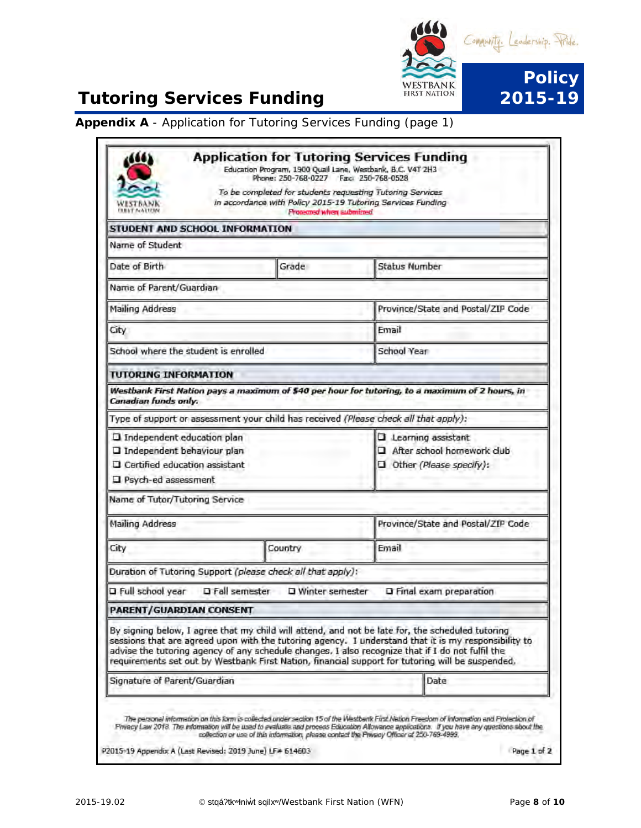

**Appendix A** - Application for Tutoring Services Funding (page 1)

| NESTBANK                                                                                                                    | Phone: 250-768-0227  Fac: 250-768-0528<br>To be completed for students requesting Tutoring Services<br>in accordance with Policy 2015-19 Tutoring Services Funding |                                                                                                                                                                                                                                                                                                              |
|-----------------------------------------------------------------------------------------------------------------------------|--------------------------------------------------------------------------------------------------------------------------------------------------------------------|--------------------------------------------------------------------------------------------------------------------------------------------------------------------------------------------------------------------------------------------------------------------------------------------------------------|
| STUDENT AND SCHOOL INFORMATION                                                                                              | <b>Protected when submitted</b>                                                                                                                                    |                                                                                                                                                                                                                                                                                                              |
| Name of Student                                                                                                             |                                                                                                                                                                    |                                                                                                                                                                                                                                                                                                              |
| Date of Birth                                                                                                               | Grade                                                                                                                                                              | <b>Status Number</b>                                                                                                                                                                                                                                                                                         |
| Name of Parent/Guardian                                                                                                     |                                                                                                                                                                    |                                                                                                                                                                                                                                                                                                              |
|                                                                                                                             |                                                                                                                                                                    |                                                                                                                                                                                                                                                                                                              |
| Mailing Address                                                                                                             |                                                                                                                                                                    | Province/State and Postal/ZIP Code                                                                                                                                                                                                                                                                           |
| City                                                                                                                        |                                                                                                                                                                    | Fmail                                                                                                                                                                                                                                                                                                        |
| School where the student is enrolled                                                                                        |                                                                                                                                                                    | School Year                                                                                                                                                                                                                                                                                                  |
| <b>TUTORING INFORMATION</b>                                                                                                 |                                                                                                                                                                    |                                                                                                                                                                                                                                                                                                              |
| Canadian funds only.                                                                                                        |                                                                                                                                                                    | Westbank First Nation pays a maximum of \$40 per hour for tutoring, to a maximum of 2 hours, in                                                                                                                                                                                                              |
|                                                                                                                             |                                                                                                                                                                    | Type of support or assessment your child has received (Please check all that apply):                                                                                                                                                                                                                         |
| <b>Q</b> Independent education plan<br>I Independent behaviour plan<br>Certified education assistant<br>Psych-ed assessment |                                                                                                                                                                    | Learning assistant<br>After school homework club<br>Other (Please specify):                                                                                                                                                                                                                                  |
| Name of Tutor/Tutoring Service                                                                                              |                                                                                                                                                                    |                                                                                                                                                                                                                                                                                                              |
| Mailing Address                                                                                                             |                                                                                                                                                                    | Province/State and Postal/ZIP Code                                                                                                                                                                                                                                                                           |
| City                                                                                                                        | Country                                                                                                                                                            | Email                                                                                                                                                                                                                                                                                                        |
|                                                                                                                             | Duration of Tutoring Support (please check all that apply):                                                                                                        |                                                                                                                                                                                                                                                                                                              |
|                                                                                                                             | □ Full school year □ Fall semester □ Winter semester                                                                                                               | <b>Q</b> Final exam preparation                                                                                                                                                                                                                                                                              |
| <b>PARENT/GUARDIAN CONSENT</b>                                                                                              |                                                                                                                                                                    |                                                                                                                                                                                                                                                                                                              |
|                                                                                                                             |                                                                                                                                                                    | By signing below, I agree that my child will attend, and not be late for, the scheduled tutoring<br>sessions that are agreed upon with the tutoring agency. I understand that it is my responsibility to<br>advise the tutoring agency of any schedule changes. I also recognize that if I do not fulfil the |
|                                                                                                                             | requirements set out by Westbank First Nation, financial support for tutoring will be suspended,                                                                   |                                                                                                                                                                                                                                                                                                              |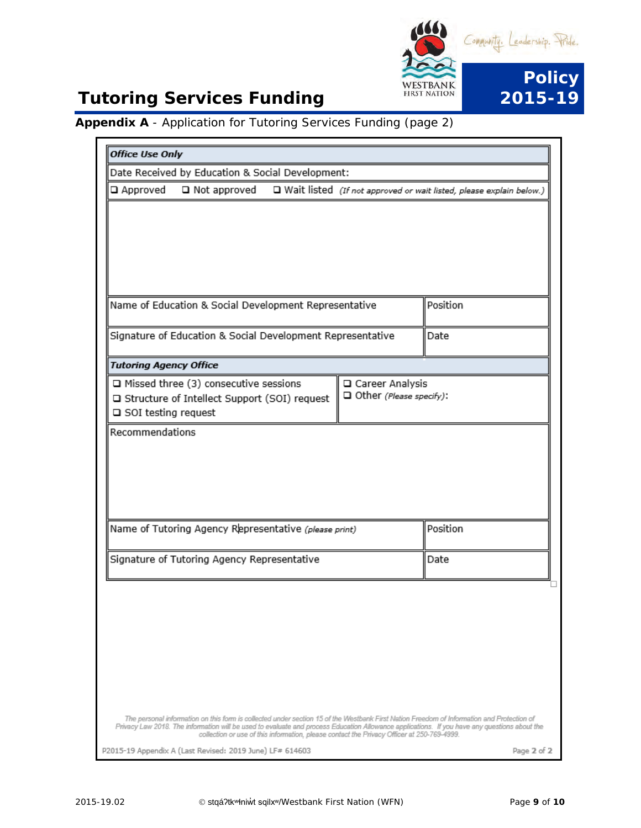

#### **Appendix A** - Application for Tutoring Services Funding (page 2)

| <b>Office Use Only</b>                                                                                                                                                                                                                     |                                              |                                                                       |
|--------------------------------------------------------------------------------------------------------------------------------------------------------------------------------------------------------------------------------------------|----------------------------------------------|-----------------------------------------------------------------------|
| Date Received by Education & Social Development:                                                                                                                                                                                           |                                              |                                                                       |
| □ Approved<br>□ Not approved                                                                                                                                                                                                               |                                              | □ Wait listed (If not approved or wait listed, please explain below.) |
|                                                                                                                                                                                                                                            |                                              |                                                                       |
|                                                                                                                                                                                                                                            |                                              |                                                                       |
| Name of Education & Social Development Representative                                                                                                                                                                                      |                                              | Position                                                              |
| Signature of Education & Social Development Representative                                                                                                                                                                                 |                                              | Date                                                                  |
| <b>Tutoring Agency Office</b>                                                                                                                                                                                                              |                                              |                                                                       |
| □ Missed three (3) consecutive sessions<br>□ Structure of Intellect Support (SOI) request<br>□ SOI testing request                                                                                                                         | □ Career Analysis<br>Other (Please specify): |                                                                       |
|                                                                                                                                                                                                                                            |                                              |                                                                       |
| Name of Tutoring Agency Representative (please print)                                                                                                                                                                                      |                                              | Position                                                              |
| Signature of Tutoring Agency Representative                                                                                                                                                                                                |                                              | Date                                                                  |
| The personal information on this form is collected under section 15 of the Westbank First Nation Freedom of Information and Protection of                                                                                                  |                                              |                                                                       |
| Privacy Law 2018. The information will be used to evaluate and process Education Allowance applications. If you have any questions about the<br>collection or use of this information, please contact the Privacy Officer at 250-769-4999. |                                              |                                                                       |
| P2015-19 Appendix A (Last Revised: 2019 June) LF# 614603                                                                                                                                                                                   |                                              | Page 2 of 2                                                           |